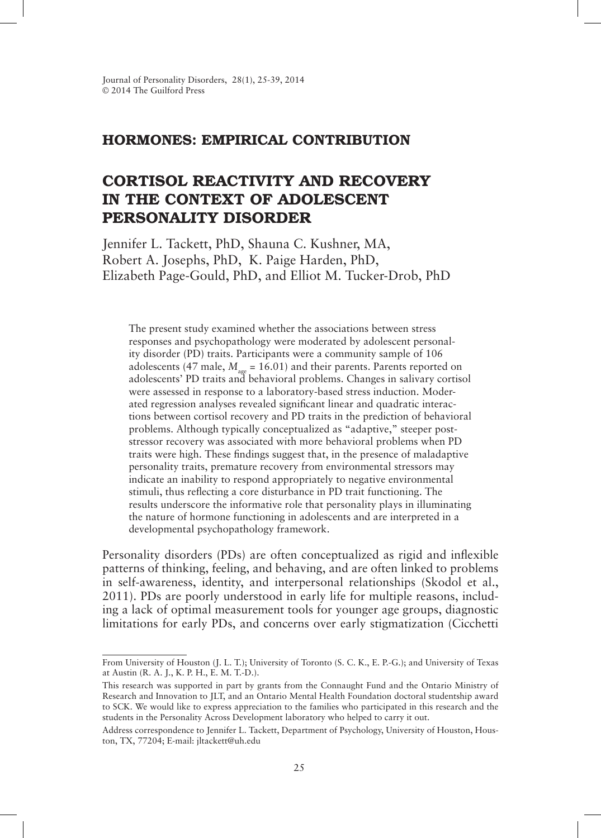# hormones: empirical Contribution

# CORTISOL REACTIVITY AND RECOVERY IN THE CONTEXT OF ADOLESCENT PERSONALITY DISORDER

Jennifer L. Tackett, PhD, Shauna C. Kushner, MA, Robert A. Josephs, PhD, K. Paige Harden, PhD, Elizabeth Page-Gould, PhD, and Elliot M. Tucker-Drob, PhD

The present study examined whether the associations between stress responses and psychopathology were moderated by adolescent personality disorder (PD) traits. Participants were a community sample of 106 adolescents (47 male,  $M_{\text{age}} = 16.01$ ) and their parents. Parents reported on adolescents' PD traits and behavioral problems. Changes in salivary cortisol were assessed in response to a laboratory-based stress induction. Moderated regression analyses revealed significant linear and quadratic interactions between cortisol recovery and PD traits in the prediction of behavioral problems. Although typically conceptualized as "adaptive," steeper poststressor recovery was associated with more behavioral problems when PD traits were high. These findings suggest that, in the presence of maladaptive personality traits, premature recovery from environmental stressors may indicate an inability to respond appropriately to negative environmental stimuli, thus reflecting a core disturbance in PD trait functioning. The results underscore the informative role that personality plays in illuminating the nature of hormone functioning in adolescents and are interpreted in a developmental psychopathology framework.

Personality disorders (PDs) are often conceptualized as rigid and inflexible patterns of thinking, feeling, and behaving, and are often linked to problems in self-awareness, identity, and interpersonal relationships (Skodol et al., 2011). PDs are poorly understood in early life for multiple reasons, including a lack of optimal measurement tools for younger age groups, diagnostic limitations for early PDs, and concerns over early stigmatization (Cicchetti

From University of Houston (J. L. T.); University of Toronto (S. C. K., E. P.-G.); and University of Texas at Austin (R. A. J., K. P. H., E. M. T.-D.).

This research was supported in part by grants from the Connaught Fund and the Ontario Ministry of Research and Innovation to JLT, and an Ontario Mental Health Foundation doctoral studentship award to SCK. We would like to express appreciation to the families who participated in this research and the students in the Personality Across Development laboratory who helped to carry it out.

Address correspondence to Jennifer L. Tackett, Department of Psychology, University of Houston, Houston, TX, 77204; E-mail: jltackett@uh.edu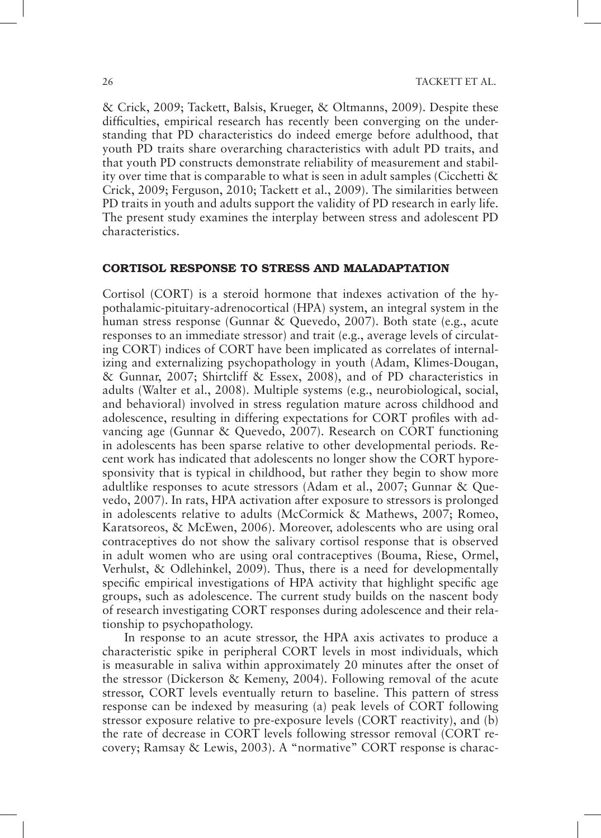& Crick, 2009; Tackett, Balsis, Krueger, & Oltmanns, 2009). Despite these difficulties, empirical research has recently been converging on the understanding that PD characteristics do indeed emerge before adulthood, that youth PD traits share overarching characteristics with adult PD traits, and that youth PD constructs demonstrate reliability of measurement and stability over time that is comparable to what is seen in adult samples (Cicchetti & Crick, 2009; Ferguson, 2010; Tackett et al., 2009). The similarities between PD traits in youth and adults support the validity of PD research in early life. The present study examines the interplay between stress and adolescent PD characteristics.

# CORTISOL RESPONSE TO STRESS AND MALADAPTATION

Cortisol (CORT) is a steroid hormone that indexes activation of the hypothalamic-pituitary-adrenocortical (HPA) system, an integral system in the human stress response (Gunnar & Quevedo, 2007). Both state (e.g., acute responses to an immediate stressor) and trait (e.g., average levels of circulating CORT) indices of CORT have been implicated as correlates of internalizing and externalizing psychopathology in youth (Adam, Klimes-Dougan, & Gunnar, 2007; Shirtcliff & Essex, 2008), and of PD characteristics in adults (Walter et al., 2008). Multiple systems (e.g., neurobiological, social, and behavioral) involved in stress regulation mature across childhood and adolescence, resulting in differing expectations for CORT profiles with advancing age (Gunnar & Quevedo, 2007). Research on CORT functioning in adolescents has been sparse relative to other developmental periods. Recent work has indicated that adolescents no longer show the CORT hyporesponsivity that is typical in childhood, but rather they begin to show more adultlike responses to acute stressors (Adam et al., 2007; Gunnar & Quevedo, 2007). In rats, HPA activation after exposure to stressors is prolonged in adolescents relative to adults (McCormick & Mathews, 2007; Romeo, Karatsoreos, & McEwen, 2006). Moreover, adolescents who are using oral contraceptives do not show the salivary cortisol response that is observed in adult women who are using oral contraceptives (Bouma, Riese, Ormel, Verhulst, & Odlehinkel, 2009). Thus, there is a need for developmentally specific empirical investigations of HPA activity that highlight specific age groups, such as adolescence. The current study builds on the nascent body of research investigating CORT responses during adolescence and their relationship to psychopathology.

In response to an acute stressor, the HPA axis activates to produce a characteristic spike in peripheral CORT levels in most individuals, which is measurable in saliva within approximately 20 minutes after the onset of the stressor (Dickerson & Kemeny, 2004). Following removal of the acute stressor, CORT levels eventually return to baseline. This pattern of stress response can be indexed by measuring (a) peak levels of CORT following stressor exposure relative to pre-exposure levels (CORT reactivity), and (b) the rate of decrease in CORT levels following stressor removal (CORT recovery; Ramsay & Lewis, 2003). A "normative" CORT response is charac-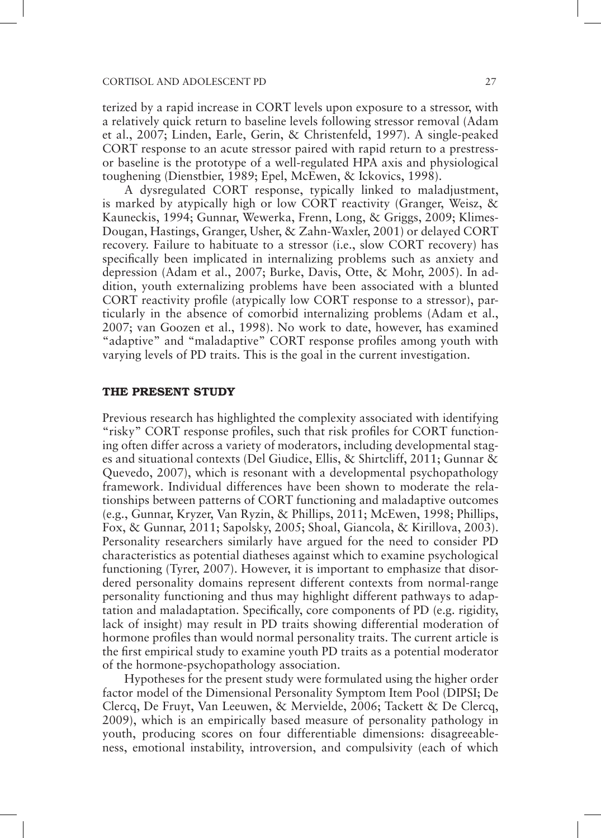terized by a rapid increase in CORT levels upon exposure to a stressor, with a relatively quick return to baseline levels following stressor removal (Adam et al., 2007; Linden, Earle, Gerin, & Christenfeld, 1997). A single-peaked CORT response to an acute stressor paired with rapid return to a prestressor baseline is the prototype of a well-regulated HPA axis and physiological toughening (Dienstbier, 1989; Epel, McEwen, & Ickovics, 1998).

A dysregulated CORT response, typically linked to maladjustment, is marked by atypically high or low CORT reactivity (Granger, Weisz, & Kauneckis, 1994; Gunnar, Wewerka, Frenn, Long, & Griggs, 2009; Klimes-Dougan, Hastings, Granger, Usher, & Zahn-Waxler, 2001) or delayed CORT recovery. Failure to habituate to a stressor (i.e., slow CORT recovery) has specifically been implicated in internalizing problems such as anxiety and depression (Adam et al., 2007; Burke, Davis, Otte, & Mohr, 2005). In addition, youth externalizing problems have been associated with a blunted CORT reactivity profile (atypically low CORT response to a stressor), particularly in the absence of comorbid internalizing problems (Adam et al., 2007; van Goozen et al., 1998). No work to date, however, has examined "adaptive" and "maladaptive" CORT response profiles among youth with varying levels of PD traits. This is the goal in the current investigation.

## THE PRESENT STUDY

Previous research has highlighted the complexity associated with identifying "risky" CORT response profiles, such that risk profiles for CORT functioning often differ across a variety of moderators, including developmental stages and situational contexts (Del Giudice, Ellis, & Shirtcliff, 2011; Gunnar & Quevedo, 2007), which is resonant with a developmental psychopathology framework. Individual differences have been shown to moderate the relationships between patterns of CORT functioning and maladaptive outcomes (e.g., Gunnar, Kryzer, Van Ryzin, & Phillips, 2011; McEwen, 1998; Phillips, Fox, & Gunnar, 2011; Sapolsky, 2005; Shoal, Giancola, & Kirillova, 2003). Personality researchers similarly have argued for the need to consider PD characteristics as potential diatheses against which to examine psychological functioning (Tyrer, 2007). However, it is important to emphasize that disordered personality domains represent different contexts from normal-range personality functioning and thus may highlight different pathways to adaptation and maladaptation. Specifically, core components of PD (e.g. rigidity, lack of insight) may result in PD traits showing differential moderation of hormone profiles than would normal personality traits. The current article is the first empirical study to examine youth PD traits as a potential moderator of the hormone-psychopathology association.

Hypotheses for the present study were formulated using the higher order factor model of the Dimensional Personality Symptom Item Pool (DIPSI; De Clercq, De Fruyt, Van Leeuwen, & Mervielde, 2006; Tackett & De Clercq, 2009), which is an empirically based measure of personality pathology in youth, producing scores on four differentiable dimensions: disagreeableness, emotional instability, introversion, and compulsivity (each of which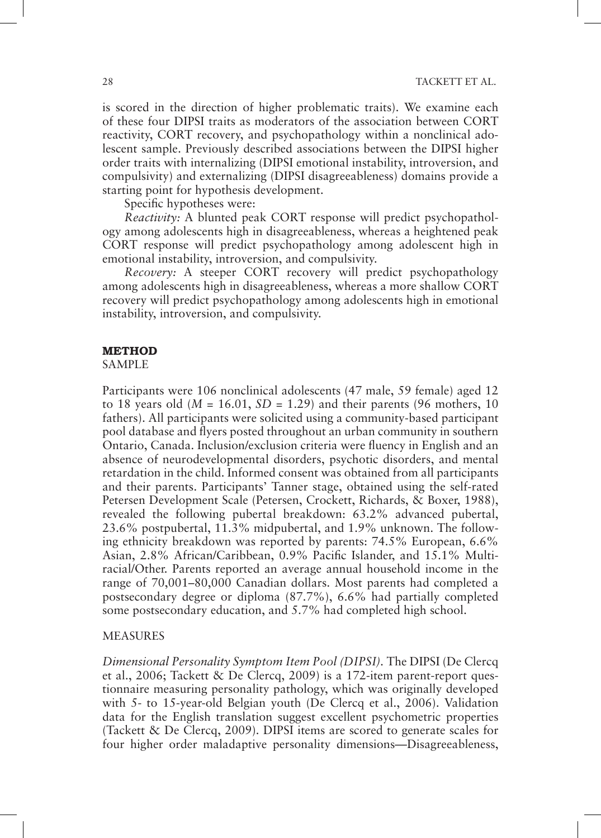is scored in the direction of higher problematic traits). We examine each of these four DIPSI traits as moderators of the association between CORT reactivity, CORT recovery, and psychopathology within a nonclinical adolescent sample. Previously described associations between the DIPSI higher order traits with internalizing (DIPSI emotional instability, introversion, and compulsivity) and externalizing (DIPSI disagreeableness) domains provide a starting point for hypothesis development.

Specific hypotheses were:

*Reactivity:* A blunted peak CORT response will predict psychopathology among adolescents high in disagreeableness, whereas a heightened peak CORT response will predict psychopathology among adolescent high in emotional instability, introversion, and compulsivity.

*Recovery:* A steeper CORT recovery will predict psychopathology among adolescents high in disagreeableness, whereas a more shallow CORT recovery will predict psychopathology among adolescents high in emotional instability, introversion, and compulsivity.

#### METHOD

## SAMPLE

Participants were 106 nonclinical adolescents (47 male, 59 female) aged 12 to 18 years old  $(M = 16.01, SD = 1.29)$  and their parents (96 mothers, 10) fathers). All participants were solicited using a community-based participant pool database and flyers posted throughout an urban community in southern Ontario, Canada. Inclusion/exclusion criteria were fluency in English and an absence of neurodevelopmental disorders, psychotic disorders, and mental retardation in the child. Informed consent was obtained from all participants and their parents. Participants' Tanner stage, obtained using the self-rated Petersen Development Scale (Petersen, Crockett, Richards, & Boxer, 1988), revealed the following pubertal breakdown: 63.2% advanced pubertal, 23.6% postpubertal, 11.3% midpubertal, and 1.9% unknown. The following ethnicity breakdown was reported by parents: 74.5% European, 6.6% Asian, 2.8% African/Caribbean, 0.9% Pacific Islander, and 15.1% Multiracial/Other. Parents reported an average annual household income in the range of 70,001–80,000 Canadian dollars. Most parents had completed a postsecondary degree or diploma (87.7%), 6.6% had partially completed some postsecondary education, and 5.7% had completed high school.

#### MEASURES

*Dimensional Personality Symptom Item Pool (DIPSI).* The DIPSI (De Clercq et al., 2006; Tackett & De Clercq, 2009) is a 172-item parent-report questionnaire measuring personality pathology, which was originally developed with 5- to 15-year-old Belgian youth (De Clercq et al., 2006). Validation data for the English translation suggest excellent psychometric properties (Tackett & De Clercq, 2009). DIPSI items are scored to generate scales for four higher order maladaptive personality dimensions—Disagreeableness,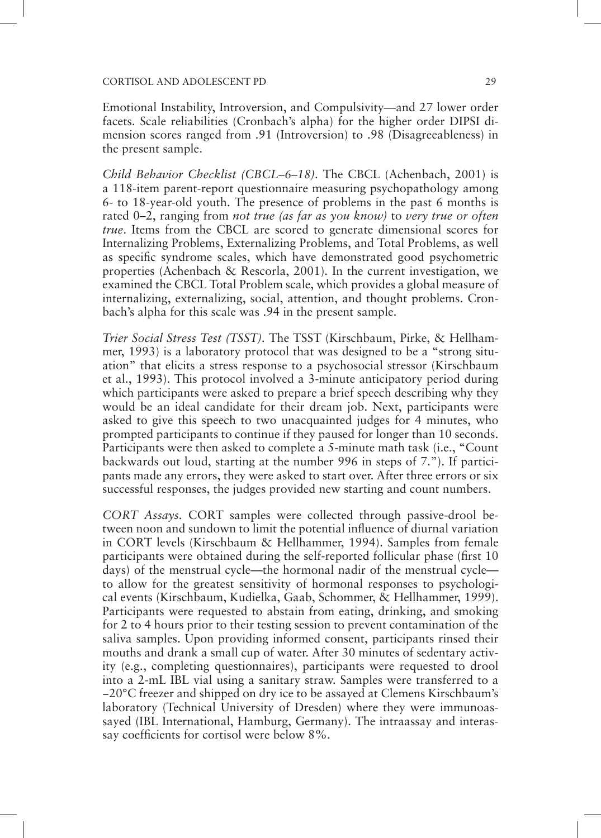Emotional Instability, Introversion, and Compulsivity—and 27 lower order facets. Scale reliabilities (Cronbach's alpha) for the higher order DIPSI dimension scores ranged from .91 (Introversion) to .98 (Disagreeableness) in the present sample.

*Child Behavior Checklist (CBCL–6–18).* The CBCL (Achenbach, 2001) is a 118-item parent-report questionnaire measuring psychopathology among 6- to 18-year-old youth. The presence of problems in the past 6 months is rated 0–2, ranging from *not true (as far as you know)* to *very true or often true*. Items from the CBCL are scored to generate dimensional scores for Internalizing Problems, Externalizing Problems, and Total Problems, as well as specific syndrome scales, which have demonstrated good psychometric properties (Achenbach & Rescorla, 2001). In the current investigation, we examined the CBCL Total Problem scale, which provides a global measure of internalizing, externalizing, social, attention, and thought problems. Cronbach's alpha for this scale was .94 in the present sample.

*Trier Social Stress Test (TSST).* The TSST (Kirschbaum, Pirke, & Hellhammer, 1993) is a laboratory protocol that was designed to be a "strong situation" that elicits a stress response to a psychosocial stressor (Kirschbaum et al., 1993). This protocol involved a 3-minute anticipatory period during which participants were asked to prepare a brief speech describing why they would be an ideal candidate for their dream job. Next, participants were asked to give this speech to two unacquainted judges for 4 minutes, who prompted participants to continue if they paused for longer than 10 seconds. Participants were then asked to complete a 5-minute math task (i.e., "Count backwards out loud, starting at the number 996 in steps of 7."). If participants made any errors, they were asked to start over. After three errors or six successful responses, the judges provided new starting and count numbers.

*CORT Assays.* CORT samples were collected through passive-drool between noon and sundown to limit the potential influence of diurnal variation in CORT levels (Kirschbaum & Hellhammer, 1994). Samples from female participants were obtained during the self-reported follicular phase (first 10 days) of the menstrual cycle—the hormonal nadir of the menstrual cycle to allow for the greatest sensitivity of hormonal responses to psychological events (Kirschbaum, Kudielka, Gaab, Schommer, & Hellhammer, 1999). Participants were requested to abstain from eating, drinking, and smoking for 2 to 4 hours prior to their testing session to prevent contamination of the saliva samples. Upon providing informed consent, participants rinsed their mouths and drank a small cup of water. After 30 minutes of sedentary activity (e.g., completing questionnaires), participants were requested to drool into a 2-mL IBL vial using a sanitary straw. Samples were transferred to a −20°C freezer and shipped on dry ice to be assayed at Clemens Kirschbaum's laboratory (Technical University of Dresden) where they were immunoassayed (IBL International, Hamburg, Germany). The intraassay and interassay coefficients for cortisol were below 8%.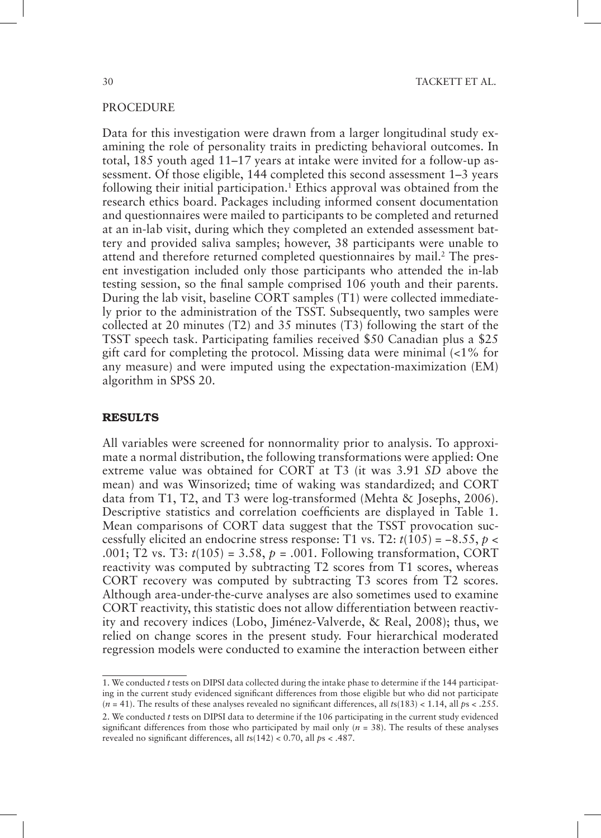# PROCEDURE

Data for this investigation were drawn from a larger longitudinal study examining the role of personality traits in predicting behavioral outcomes. In total, 185 youth aged 11–17 years at intake were invited for a follow-up assessment. Of those eligible, 144 completed this second assessment 1–3 years following their initial participation.<sup>1</sup> Ethics approval was obtained from the research ethics board. Packages including informed consent documentation and questionnaires were mailed to participants to be completed and returned at an in-lab visit, during which they completed an extended assessment battery and provided saliva samples; however, 38 participants were unable to attend and therefore returned completed questionnaires by mail.<sup>2</sup> The present investigation included only those participants who attended the in-lab testing session, so the final sample comprised 106 youth and their parents. During the lab visit, baseline CORT samples (T1) were collected immediately prior to the administration of the TSST. Subsequently, two samples were collected at 20 minutes (T2) and 35 minutes (T3) following the start of the TSST speech task. Participating families received \$50 Canadian plus a \$25 gift card for completing the protocol. Missing data were minimal  $\langle$ <1% for any measure) and were imputed using the expectation-maximization (EM) algorithm in SPSS 20.

# RESULTS

All variables were screened for nonnormality prior to analysis. To approximate a normal distribution, the following transformations were applied: One extreme value was obtained for CORT at T3 (it was 3.91 *SD* above the mean) and was Winsorized; time of waking was standardized; and CORT data from T1, T2, and T3 were log-transformed (Mehta & Josephs, 2006). Descriptive statistics and correlation coefficients are displayed in Table 1. Mean comparisons of CORT data suggest that the TSST provocation successfully elicited an endocrine stress response: T1 vs. T2:  $t(105) = -8.55$ ,  $p <$ .001; T2 vs. T3: *t*(105) = 3.58, *p* = .001. Following transformation, CORT reactivity was computed by subtracting T2 scores from T1 scores, whereas CORT recovery was computed by subtracting T3 scores from T2 scores. Although area-under-the-curve analyses are also sometimes used to examine CORT reactivity, this statistic does not allow differentiation between reactivity and recovery indices (Lobo, Jiménez-Valverde, & Real, 2008); thus, we relied on change scores in the present study. Four hierarchical moderated regression models were conducted to examine the interaction between either

<sup>1.</sup> We conducted *t* tests on DIPSI data collected during the intake phase to determine if the 144 participating in the current study evidenced significant differences from those eligible but who did not participate  $(n = 41)$ . The results of these analyses revealed no significant differences, all  $ts(183) < 1.14$ , all  $ps < .255$ .

<sup>2.</sup> We conducted *t* tests on DIPSI data to determine if the 106 participating in the current study evidenced significant differences from those who participated by mail only  $(n = 38)$ . The results of these analyses revealed no significant differences, all *t*s(142) < 0.70, all *p*s < .487.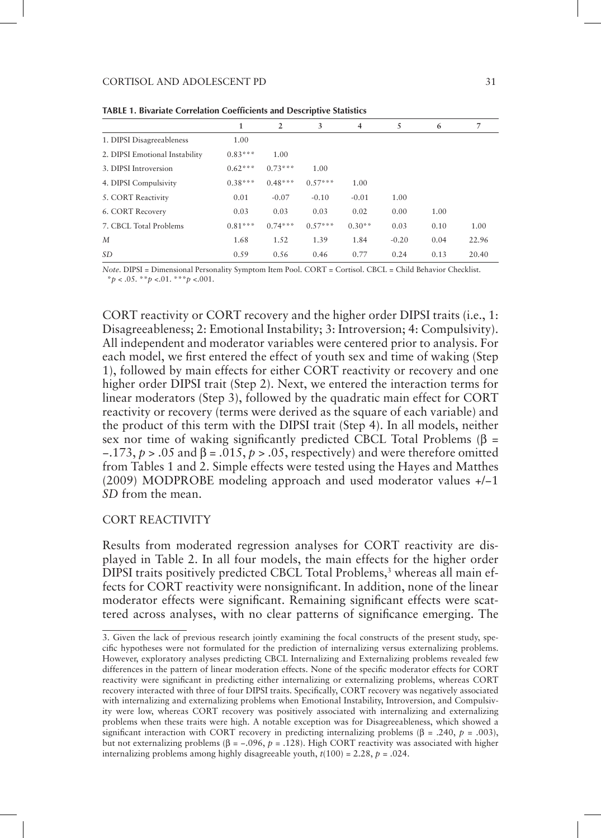|                                | 1         | $\overline{2}$ | 3         | $\overline{4}$ | 5       | 6    | 7     |
|--------------------------------|-----------|----------------|-----------|----------------|---------|------|-------|
| 1. DIPSI Disagreeableness      | 1.00      |                |           |                |         |      |       |
| 2. DIPSI Emotional Instability | $0.83***$ | 1.00           |           |                |         |      |       |
| 3. DIPSI Introversion          | $0.62***$ | $0.73***$      | 1.00      |                |         |      |       |
| 4. DIPSI Compulsivity          | $0.38***$ | $0.48***$      | $0.57***$ | 1.00           |         |      |       |
| 5. CORT Reactivity             | 0.01      | $-0.07$        | $-0.10$   | $-0.01$        | 1.00    |      |       |
| 6. CORT Recovery               | 0.03      | 0.03           | 0.03      | 0.02           | 0.00    | 1.00 |       |
| 7. CBCL Total Problems         | $0.81***$ | $0.74***$      | $0.57***$ | $0.30**$       | 0.03    | 0.10 | 1.00  |
| M                              | 1.68      | 1.52           | 1.39      | 1.84           | $-0.20$ | 0.04 | 22.96 |
| <i>SD</i>                      | 0.59      | 0.56           | 0.46      | 0.77           | 0.24    | 0.13 | 20.40 |

**TABLE 1. Bivariate Correlation Coefficients and Descriptive Statistics**

*Note*. DIPSI = Dimensional Personality Symptom Item Pool. CORT = Cortisol. CBCL = Child Behavior Checklist. \**p* < .05. \*\**p* <.01. \*\*\**p* <.001.

CORT reactivity or CORT recovery and the higher order DIPSI traits (i.e., 1: Disagreeableness; 2: Emotional Instability; 3: Introversion; 4: Compulsivity). All independent and moderator variables were centered prior to analysis. For each model, we first entered the effect of youth sex and time of waking (Step 1), followed by main effects for either CORT reactivity or recovery and one higher order DIPSI trait (Step 2). Next, we entered the interaction terms for linear moderators (Step 3), followed by the quadratic main effect for CORT reactivity or recovery (terms were derived as the square of each variable) and the product of this term with the DIPSI trait (Step 4). In all models, neither sex nor time of waking significantly predicted CBCL Total Problems ( $\beta$  =  $-173$ ,  $p > .05$  and  $\beta = .015$ ,  $p > .05$ , respectively) and were therefore omitted from Tables 1 and 2. Simple effects were tested using the Hayes and Matthes (2009) MODPROBE modeling approach and used moderator values +/−1 *SD* from the mean.

# CORT REACTIVITY

Results from moderated regression analyses for CORT reactivity are displayed in Table 2. In all four models, the main effects for the higher order DIPSI traits positively predicted CBCL Total Problems,<sup>3</sup> whereas all main effects for CORT reactivity were nonsignificant. In addition, none of the linear moderator effects were significant. Remaining significant effects were scattered across analyses, with no clear patterns of significance emerging. The

<sup>3.</sup> Given the lack of previous research jointly examining the focal constructs of the present study, specific hypotheses were not formulated for the prediction of internalizing versus externalizing problems. However, exploratory analyses predicting CBCL Internalizing and Externalizing problems revealed few differences in the pattern of linear moderation effects. None of the specific moderator effects for CORT reactivity were significant in predicting either internalizing or externalizing problems, whereas CORT recovery interacted with three of four DIPSI traits. Specifically, CORT recovery was negatively associated with internalizing and externalizing problems when Emotional Instability, Introversion, and Compulsivity were low, whereas CORT recovery was positively associated with internalizing and externalizing problems when these traits were high. A notable exception was for Disagreeableness, which showed a significant interaction with CORT recovery in predicting internalizing problems ( $\beta$  = .240,  $p$  = .003), but not externalizing problems (β =  $-.096$ , *p* = .128). High CORT reactivity was associated with higher internalizing problems among highly disagreeable youth,  $t(100) = 2.28$ ,  $p = .024$ .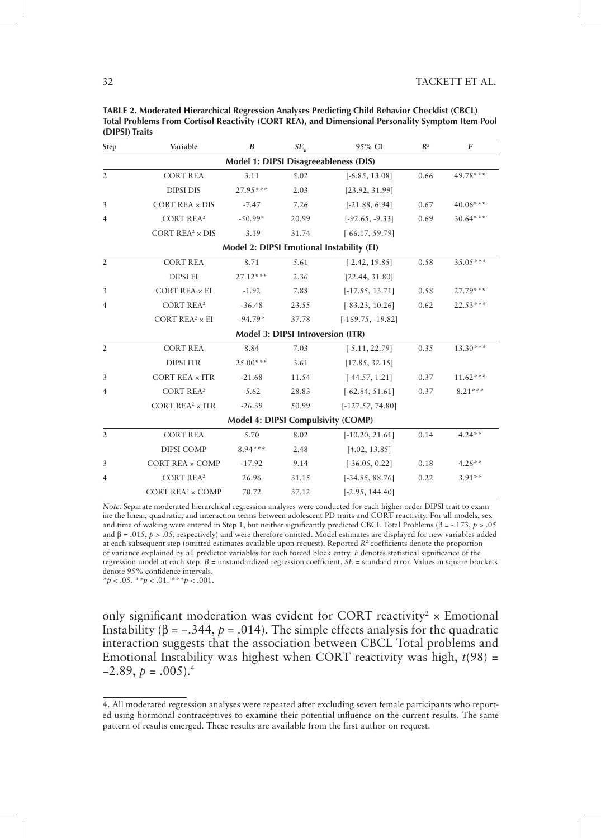| Step           | Variable                            | $\boldsymbol{B}$                   | $SE_B$                            | 95% CI                                    | $R^2$ | $\boldsymbol{F}$ |
|----------------|-------------------------------------|------------------------------------|-----------------------------------|-------------------------------------------|-------|------------------|
|                |                                     |                                    |                                   | Model 1: DIPSI Disagreeableness (DIS)     |       |                  |
| $\overline{2}$ | <b>CORT REA</b>                     | 3.11                               | 5.02                              | $[-6.85, 13.08]$                          | 0.66  | 49.78***         |
|                | <b>DIPSI DIS</b>                    | $27.95***$                         | 2.03                              | [23.92, 31.99]                            |       |                  |
| 3              | CORT REA $\times$ DIS               | $-7.47$                            | 7.26                              | $[-21.88, 6.94]$                          | 0.67  | $40.06***$       |
| $\overline{4}$ | <b>CORT REA<sup>2</sup></b>         | $-50.99*$                          | 20.99                             | $[-92.65, -9.33]$                         | 0.69  | $30.64***$       |
|                | CORT $REA2 \times DIS$              | $-3.19$                            | 31.74                             | $[-66.17, 59.79]$                         |       |                  |
|                |                                     |                                    |                                   | Model 2: DIPSI Emotional Instability (EI) |       |                  |
| $\overline{2}$ | <b>CORT REA</b>                     | 8.71                               | 5.61                              | $[-2.42, 19.85]$                          | 0.58  | $35.05***$       |
|                | <b>DIPSI EI</b>                     | $27.12***$                         | 2.36                              | [22.44, 31.80]                            |       |                  |
| 3              | CORT REA $\times$ EI                | $-1.92$                            | 7.88                              | $[-17.55, 13.71]$                         | 0.58  | $27.79***$       |
| $\overline{4}$ | <b>CORT REA<sup>2</sup></b>         | $-36.48$                           | 23.55                             | $[-83.23, 10.26]$                         | 0.62  | $22.53***$       |
|                | CORT REA <sup>2</sup> $\times$ EI   | $-94.79*$                          | 37.78                             | $[-169.75, -19.82]$                       |       |                  |
|                |                                     |                                    | Model 3: DIPSI Introversion (ITR) |                                           |       |                  |
| $\overline{2}$ | <b>CORT REA</b>                     | 8.84                               | 7.03                              | $[-5.11, 22.79]$                          | 0.35  | $13.30***$       |
|                | <b>DIPSI ITR</b>                    | $25.00***$                         | 3.61                              | [17.85, 32.15]                            |       |                  |
| 3              | CORT REA × ITR                      | $-21.68$                           | 11.54                             | $[-44.57, 1.21]$<br>0.37                  |       | $11.62***$       |
| 4              | <b>CORT REA<sup>2</sup></b>         | $-5.62$                            | 28.83                             | $[-62.84, 51.61]$                         | 0.37  | $8.21***$        |
|                | CORT $REA2 \times ITR$              | $-26.39$                           | 50.99                             | $[-127.57, 74.80]$                        |       |                  |
|                |                                     | Model 4: DIPSI Compulsivity (COMP) |                                   |                                           |       |                  |
| $\overline{2}$ | <b>CORT REA</b>                     | 5.70                               | 8.02                              | $[-10.20, 21.61]$                         | 0.14  | $4.24**$         |
|                | <b>DIPSI COMP</b>                   | $8.94***$                          | 2.48                              | [4.02, 13.85]                             |       |                  |
| 3              | CORT REA × COMP                     | $-17.92$                           | 9.14                              | $[-36.05, 0.22]$                          | 0.18  | $4.26**$         |
| $\overline{4}$ | <b>CORT REA<sup>2</sup></b>         | 26.96                              | 31.15                             | $[-34.85, 88.76]$                         | 0.22  | $3.91**$         |
|                | CORT REA <sup>2</sup> $\times$ COMP | 70.72                              | 37.12                             | $[-2.95, 144.40]$                         |       |                  |

**TABLE 2. Moderated Hierarchical Regression Analyses Predicting Child Behavior Checklist (CBCL) Total Problems From Cortisol Reactivity (CORT REA), and Dimensional Personality Symptom Item Pool (DIPSI) Traits**

*Note.* Separate moderated hierarchical regression analyses were conducted for each higher-order DIPSI trait to examine the linear, quadratic, and interaction terms between adolescent PD traits and CORT reactivity. For all models, sex and time of waking were entered in Step 1, but neither significantly predicted CBCL Total Problems (β = -.173,  $p > .05$ ) and β = .015, *p* > .05, respectively) and were therefore omitted. Model estimates are displayed for new variables added at each subsequent step (omitted estimates available upon request). Reported  $R<sup>2</sup>$  coefficients denote the proportion of variance explained by all predictor variables for each forced block entry. *F* denotes statistical significance of the regression model at each step. *B* = unstandardized regression coefficient. *SE* = standard error. Values in square brackets denote 95% confidence intervals.

 $**p* < .05. ***p* < .01. ****p* < .001.$ 

only significant moderation was evident for CORT reactivity<sup>2</sup>  $\times$  Emotional Instability ( $\beta$  = -.344,  $p$  = .014). The simple effects analysis for the quadratic interaction suggests that the association between CBCL Total problems and Emotional Instability was highest when CORT reactivity was high, *t*(98) =  $-2.89, p = .005$ .<sup>4</sup>

<sup>4.</sup> All moderated regression analyses were repeated after excluding seven female participants who reported using hormonal contraceptives to examine their potential influence on the current results. The same pattern of results emerged. These results are available from the first author on request.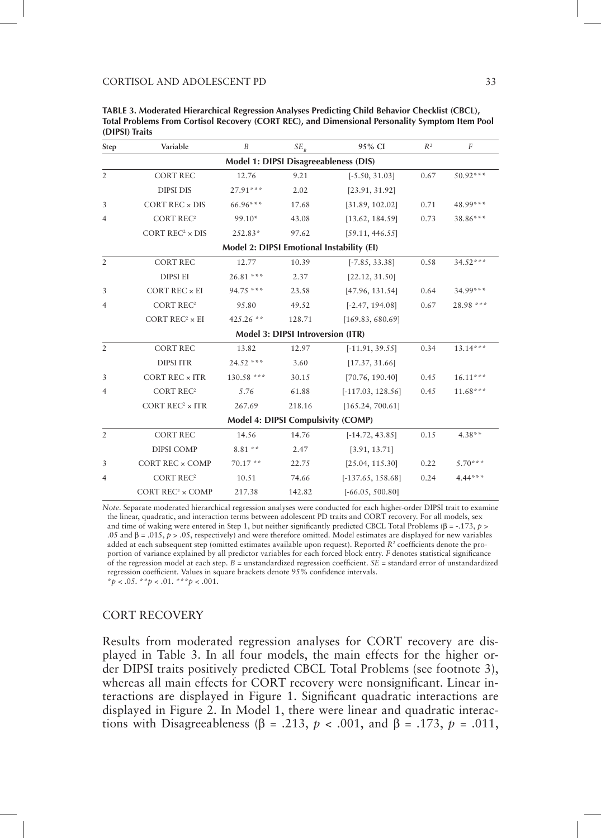| Step                                  | Variable                                  | $\boldsymbol{B}$ | $SE_{R}$                          | 95% CI                  | $R^2$ | $\boldsymbol{F}$ |  |  |  |  |
|---------------------------------------|-------------------------------------------|------------------|-----------------------------------|-------------------------|-------|------------------|--|--|--|--|
| Model 1: DIPSI Disagreeableness (DIS) |                                           |                  |                                   |                         |       |                  |  |  |  |  |
| $\overline{2}$                        | <b>CORT REC</b>                           | 12.76            | 9.21                              | $[-5.50, 31.03]$        | 0.67  | $50.92***$       |  |  |  |  |
|                                       | <b>DIPSI DIS</b>                          | $27.91***$       | 2.02                              | [23.91, 31.92]          |       |                  |  |  |  |  |
| 3                                     | CORT REC × DIS                            | 66.96***         | 17.68                             | [31.89, 102.02]         | 0.71  | 48.99***         |  |  |  |  |
| $\overline{4}$                        | <b>CORT REC<sup>2</sup></b>               | 99.10*           | 43.08                             | [13.62, 184.59]         | 0.73  | 38.86***         |  |  |  |  |
|                                       | CORT $REC2 \times DIS$                    | 252.83*          | 97.62                             | [59.11, 446.55]         |       |                  |  |  |  |  |
|                                       | Model 2: DIPSI Emotional Instability (EI) |                  |                                   |                         |       |                  |  |  |  |  |
| $\overline{2}$                        | <b>CORT REC</b>                           | 12.77            | 10.39                             | $[-7.85, 33.38]$        | 0.58  | $34.52***$       |  |  |  |  |
|                                       | <b>DIPSI EI</b>                           | 26.81 ***        | 2.37                              | [22.12, 31.50]          |       |                  |  |  |  |  |
| 3                                     | CORT REC × EI                             | $94.75$ ***      | 23.58                             | [47.96, 131.54]         | 0.64  |                  |  |  |  |  |
| $\overline{4}$                        | <b>CORT REC<sup>2</sup></b>               | 95.80            | 49.52                             | $[-2.47, 194.08]$       | 0.67  | 28.98 ***        |  |  |  |  |
|                                       | CORT REC <sup>2</sup> $\times$ EI         | 425.26 **        | 128.71                            | [169.83, 680.69]        |       |                  |  |  |  |  |
|                                       |                                           |                  | Model 3: DIPSI Introversion (ITR) |                         |       |                  |  |  |  |  |
| $\overline{2}$                        | <b>CORT REC</b>                           | 13.82            | 12.97                             | $[-11.91, 39.55]$       | 0.34  | $13.14***$       |  |  |  |  |
|                                       | <b>DIPSI ITR</b>                          | $24.52$ ***      | 3.60                              | [17.37, 31.66]          |       |                  |  |  |  |  |
| 3                                     | CORT REC × ITR                            | $130.58$ ***     | 30.15                             | [70.76, 190.40]<br>0.45 |       | $16.11***$       |  |  |  |  |
| $\overline{4}$                        | <b>CORT REC<sup>2</sup></b>               | 5.76             | 61.88                             | $[-117.03, 128.56]$     | 0.45  | $11.68***$       |  |  |  |  |
|                                       | CORT REC <sup>2</sup> $\times$ ITR        | 267.69           | 218.16                            | [165.24, 700.61]        |       |                  |  |  |  |  |
| Model 4: DIPSI Compulsivity (COMP)    |                                           |                  |                                   |                         |       |                  |  |  |  |  |
| $\overline{2}$                        | <b>CORT REC</b>                           | 14.56            | 14.76                             | $[-14.72, 43.85]$       | 0.15  | $4.38**$         |  |  |  |  |
|                                       | <b>DIPSI COMP</b>                         | 8.81**           | 2.47                              | [3.91, 13.71]           |       |                  |  |  |  |  |
| 3                                     | CORT REC × COMP                           | $70.17**$        | 22.75                             | [25.04, 115.30]<br>0.22 |       | $5.70***$        |  |  |  |  |
| $\overline{4}$                        | CORT REC <sup>2</sup>                     | 10.51            | 74.66                             | $[-137.65, 158.68]$     | 0.24  | $4.44***$        |  |  |  |  |
|                                       | CORT REC <sup>2</sup> × COMP              | 217.38           | 142.82                            | $[-66.05, 500.80]$      |       |                  |  |  |  |  |

**TABLE 3. Moderated Hierarchical Regression Analyses Predicting Child Behavior Checklist (CBCL), Total Problems From Cortisol Recovery (CORT REC), and Dimensional Personality Symptom Item Pool (DIPSI) Traits**

*Note*. Separate moderated hierarchical regression analyses were conducted for each higher-order DIPSI trait to examine the linear, quadratic, and interaction terms between adolescent PD traits and CORT recovery. For all models, sex and time of waking were entered in Step 1, but neither significantly predicted CBCL Total Problems (β = -.173, *p* > .05 and β = .015, *p* > .05, respectively) and were therefore omitted. Model estimates are displayed for new variables added at each subsequent step (omitted estimates available upon request). Reported  $R<sup>2</sup>$  coefficients denote the proportion of variance explained by all predictor variables for each forced block entry. *F* denotes statistical significance of the regression model at each step. *B* = unstandardized regression coefficient. *SE* = standard error of unstandardized regression coefficient. Values in square brackets denote 95% confidence intervals.

\**p* < .05. \*\**p* < .01. \*\*\**p* < .001.

## CORT RECOVERY

Results from moderated regression analyses for CORT recovery are displayed in Table 3. In all four models, the main effects for the higher order DIPSI traits positively predicted CBCL Total Problems (see footnote 3), whereas all main effects for CORT recovery were nonsignificant. Linear interactions are displayed in Figure 1. Significant quadratic interactions are displayed in Figure 2. In Model 1, there were linear and quadratic interactions with Disagreeableness ( $\beta$  = .213,  $p$  < .001, and  $\beta$  = .173,  $p$  = .011,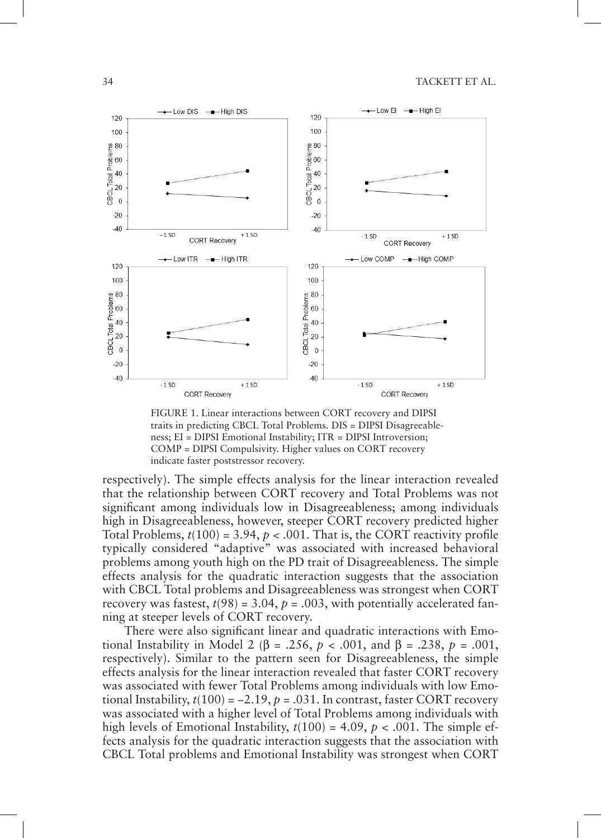

FIGURE 1. Linear interactions between CORT recovery and DIPSI traits in predicting CBCL Total Problems. DIS = DIPSI Disagreeableness; EI = DIPSI Emotional Instability; ITR = DIPSI Introversion; COMP = DIPSI Compulsivity. Higher values on CORT recovery indicate faster poststressor recovery.

respectively). The simple effects analysis for the linear interaction revealed that the relationship between CORT recovery and Total Problems was not significant among individuals low in Disagreeableness; among individuals high in Disagreeableness, however, steeper CORT recovery predicted higher Total Problems,  $t(100) = 3.94$ ,  $p < .001$ . That is, the CORT reactivity profile typically considered "adaptive" was associated with increased behavioral problems among youth high on the PD trait of Disagreeableness. The simple effects analysis for the quadratic interaction suggests that the association with CBCL Total problems and Disagreeableness was strongest when CORT recovery was fastest,  $t(98) = 3.04$ ,  $p = .003$ , with potentially accelerated fanning at steeper levels of CORT recovery.

There were also significant linear and quadratic interactions with Emotional Instability in Model 2 (β = .256, *p* < .001, and β = .238, *p* = .001, respectively). Similar to the pattern seen for Disagreeableness, the simple effects analysis for the linear interaction revealed that faster CORT recovery was associated with fewer Total Problems among individuals with low Emotional Instability,  $t(100) = -2.19$ ,  $p = .031$ . In contrast, faster CORT recovery was associated with a higher level of Total Problems among individuals with high levels of Emotional Instability,  $t(100) = 4.09$ ,  $p < .001$ . The simple effects analysis for the quadratic interaction suggests that the association with CBCL Total problems and Emotional Instability was strongest when CORT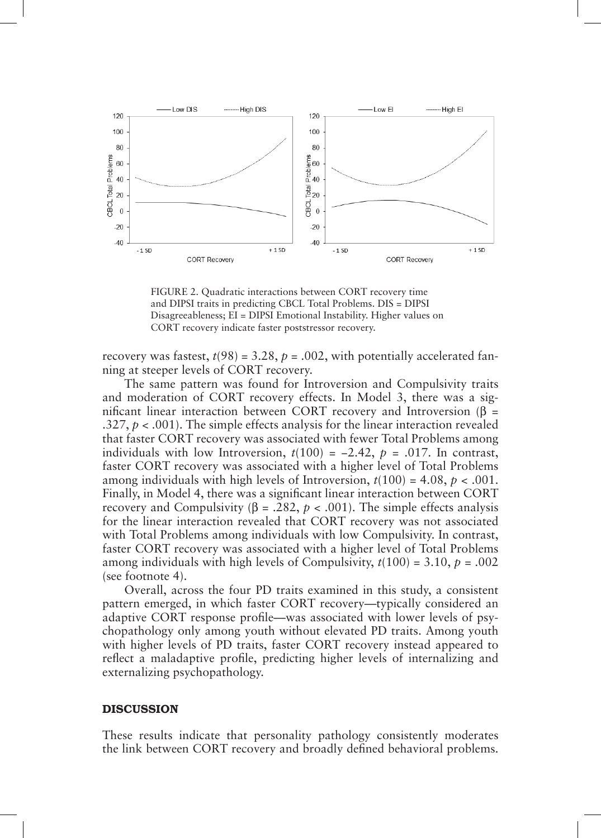

FIGURE 2. Quadratic interactions between CORT recovery time and DIPSI traits in predicting CBCL Total Problems. DIS = DIPSI Disagreeableness; EI = DIPSI Emotional Instability. Higher values on CORT recovery indicate faster poststressor recovery.

recovery was fastest,  $t(98) = 3.28$ ,  $p = .002$ , with potentially accelerated fanning at steeper levels of CORT recovery.

The same pattern was found for Introversion and Compulsivity traits and moderation of CORT recovery effects. In Model 3, there was a significant linear interaction between CORT recovery and Introversion (β = .327,  $p < .001$ ). The simple effects analysis for the linear interaction revealed that faster CORT recovery was associated with fewer Total Problems among individuals with low Introversion,  $t(100) = -2.42$ ,  $p = .017$ . In contrast, faster CORT recovery was associated with a higher level of Total Problems among individuals with high levels of Introversion,  $t(100) = 4.08$ ,  $p < .001$ . Finally, in Model 4, there was a significant linear interaction between CORT recovery and Compulsivity (β = .282,  $p < .001$ ). The simple effects analysis for the linear interaction revealed that CORT recovery was not associated with Total Problems among individuals with low Compulsivity. In contrast, faster CORT recovery was associated with a higher level of Total Problems among individuals with high levels of Compulsivity,  $t(100) = 3.10$ ,  $p = .002$ (see footnote 4).

Overall, across the four PD traits examined in this study, a consistent pattern emerged, in which faster CORT recovery—typically considered an adaptive CORT response profile—was associated with lower levels of psychopathology only among youth without elevated PD traits. Among youth with higher levels of PD traits, faster CORT recovery instead appeared to reflect a maladaptive profile, predicting higher levels of internalizing and externalizing psychopathology.

#### DISCUSSION

These results indicate that personality pathology consistently moderates the link between CORT recovery and broadly defined behavioral problems.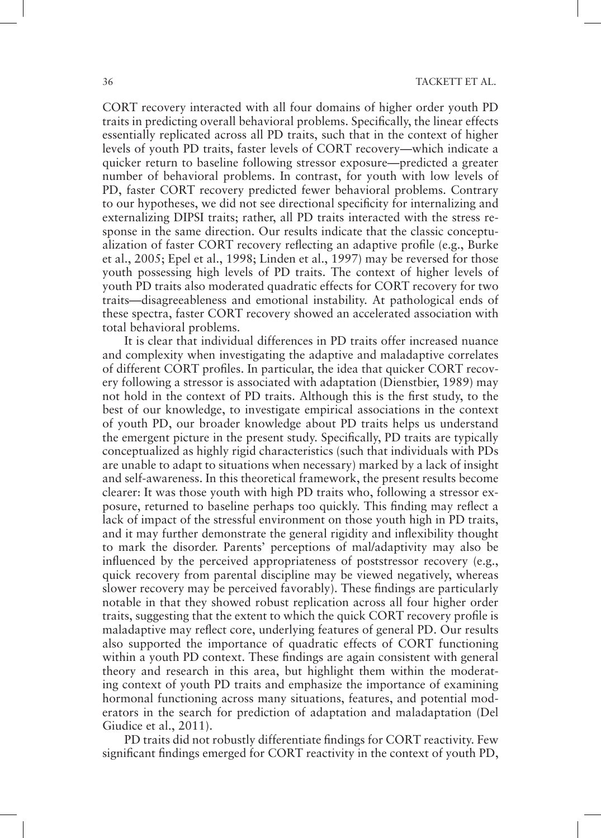CORT recovery interacted with all four domains of higher order youth PD traits in predicting overall behavioral problems. Specifically, the linear effects essentially replicated across all PD traits, such that in the context of higher levels of youth PD traits, faster levels of CORT recovery—which indicate a quicker return to baseline following stressor exposure—predicted a greater number of behavioral problems. In contrast, for youth with low levels of PD, faster CORT recovery predicted fewer behavioral problems. Contrary to our hypotheses, we did not see directional specificity for internalizing and externalizing DIPSI traits; rather, all PD traits interacted with the stress response in the same direction. Our results indicate that the classic conceptualization of faster CORT recovery reflecting an adaptive profile (e.g., Burke et al., 2005; Epel et al., 1998; Linden et al., 1997) may be reversed for those youth possessing high levels of PD traits. The context of higher levels of youth PD traits also moderated quadratic effects for CORT recovery for two traits—disagreeableness and emotional instability. At pathological ends of these spectra, faster CORT recovery showed an accelerated association with total behavioral problems.

It is clear that individual differences in PD traits offer increased nuance and complexity when investigating the adaptive and maladaptive correlates of different CORT profiles. In particular, the idea that quicker CORT recovery following a stressor is associated with adaptation (Dienstbier, 1989) may not hold in the context of PD traits. Although this is the first study, to the best of our knowledge, to investigate empirical associations in the context of youth PD, our broader knowledge about PD traits helps us understand the emergent picture in the present study. Specifically, PD traits are typically conceptualized as highly rigid characteristics (such that individuals with PDs are unable to adapt to situations when necessary) marked by a lack of insight and self-awareness. In this theoretical framework, the present results become clearer: It was those youth with high PD traits who, following a stressor exposure, returned to baseline perhaps too quickly. This finding may reflect a lack of impact of the stressful environment on those youth high in PD traits, and it may further demonstrate the general rigidity and inflexibility thought to mark the disorder. Parents' perceptions of mal/adaptivity may also be influenced by the perceived appropriateness of poststressor recovery (e.g., quick recovery from parental discipline may be viewed negatively, whereas slower recovery may be perceived favorably). These findings are particularly notable in that they showed robust replication across all four higher order traits, suggesting that the extent to which the quick CORT recovery profile is maladaptive may reflect core, underlying features of general PD. Our results also supported the importance of quadratic effects of CORT functioning within a youth PD context. These findings are again consistent with general theory and research in this area, but highlight them within the moderating context of youth PD traits and emphasize the importance of examining hormonal functioning across many situations, features, and potential moderators in the search for prediction of adaptation and maladaptation (Del Giudice et al., 2011).

PD traits did not robustly differentiate findings for CORT reactivity. Few significant findings emerged for CORT reactivity in the context of youth PD,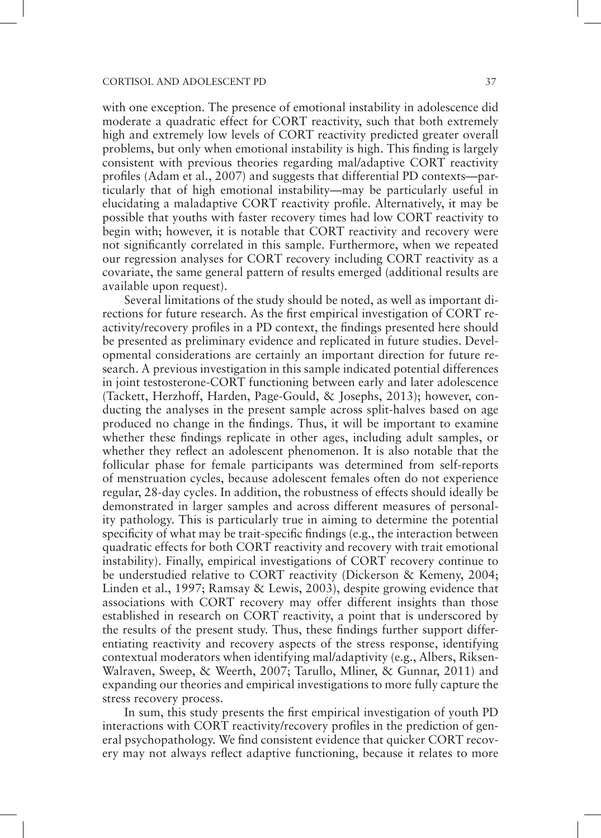with one exception. The presence of emotional instability in adolescence did moderate a quadratic effect for CORT reactivity, such that both extremely high and extremely low levels of CORT reactivity predicted greater overall problems, but only when emotional instability is high. This finding is largely consistent with previous theories regarding mal/adaptive CORT reactivity profiles (Adam et al., 2007) and suggests that differential PD contexts—particularly that of high emotional instability—may be particularly useful in elucidating a maladaptive CORT reactivity profile. Alternatively, it may be possible that youths with faster recovery times had low CORT reactivity to begin with; however, it is notable that CORT reactivity and recovery were not significantly correlated in this sample. Furthermore, when we repeated our regression analyses for CORT recovery including CORT reactivity as a covariate, the same general pattern of results emerged (additional results are available upon request).

Several limitations of the study should be noted, as well as important directions for future research. As the first empirical investigation of CORT reactivity/recovery profiles in a PD context, the findings presented here should be presented as preliminary evidence and replicated in future studies. Developmental considerations are certainly an important direction for future research. A previous investigation in this sample indicated potential differences in joint testosterone-CORT functioning between early and later adolescence (Tackett, Herzhoff, Harden, Page-Gould, & Josephs, 2013); however, conducting the analyses in the present sample across split-halves based on age produced no change in the findings. Thus, it will be important to examine whether these findings replicate in other ages, including adult samples, or whether they reflect an adolescent phenomenon. It is also notable that the follicular phase for female participants was determined from self-reports of menstruation cycles, because adolescent females often do not experience regular, 28-day cycles. In addition, the robustness of effects should ideally be demonstrated in larger samples and across different measures of personality pathology. This is particularly true in aiming to determine the potential specificity of what may be trait-specific findings (e.g., the interaction between quadratic effects for both CORT reactivity and recovery with trait emotional instability). Finally, empirical investigations of CORT recovery continue to be understudied relative to CORT reactivity (Dickerson & Kemeny, 2004; Linden et al., 1997; Ramsay & Lewis, 2003), despite growing evidence that associations with CORT recovery may offer different insights than those established in research on CORT reactivity, a point that is underscored by the results of the present study. Thus, these findings further support differentiating reactivity and recovery aspects of the stress response, identifying contextual moderators when identifying mal/adaptivity (e.g., Albers, Riksen-Walraven, Sweep, & Weerth, 2007; Tarullo, Mliner, & Gunnar, 2011) and expanding our theories and empirical investigations to more fully capture the stress recovery process.

In sum, this study presents the first empirical investigation of youth PD interactions with CORT reactivity/recovery profiles in the prediction of general psychopathology. We find consistent evidence that quicker CORT recovery may not always reflect adaptive functioning, because it relates to more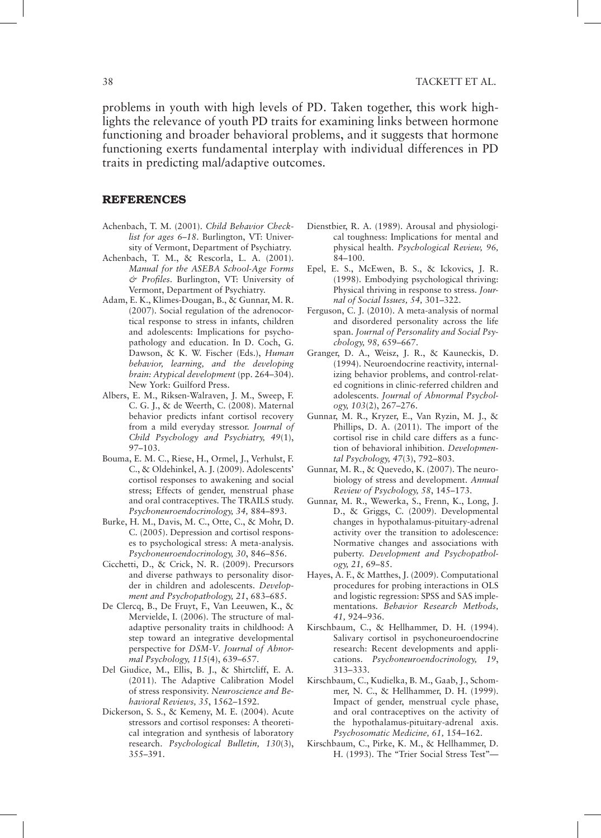problems in youth with high levels of PD. Taken together, this work highlights the relevance of youth PD traits for examining links between hormone functioning and broader behavioral problems, and it suggests that hormone functioning exerts fundamental interplay with individual differences in PD traits in predicting mal/adaptive outcomes.

#### REFERENCES

- Achenbach, T. M. (2001). *Child Behavior Checklist for ages 6–18*. Burlington, VT: University of Vermont, Department of Psychiatry.
- Achenbach, T. M., & Rescorla, L. A. (2001). *Manual for the ASEBA School-Age Forms & Profiles*. Burlington, VT: University of Vermont, Department of Psychiatry.
- Adam, E. K., Klimes-Dougan, B., & Gunnar, M. R. (2007). Social regulation of the adrenocortical response to stress in infants, children and adolescents: Implications for psychopathology and education. In D. Coch, G. Dawson, & K. W. Fischer (Eds.), *Human behavior, learning, and the developing brain: Atypical development* (pp. 264–304). New York: Guilford Press.
- Albers, E. M., Riksen-Walraven, J. M., Sweep, F. C. G. J., & de Weerth, C. (2008). Maternal behavior predicts infant cortisol recovery from a mild everyday stressor. *Journal of Child Psychology and Psychiatry, 49*(1), 97–103.
- Bouma, E. M. C., Riese, H., Ormel, J., Verhulst, F. C., & Oldehinkel, A. J. (2009). Adolescents' cortisol responses to awakening and social stress; Effects of gender, menstrual phase and oral contraceptives. The TRAILS study. *Psychoneuroendocrinology, 34,* 884–893.
- Burke, H. M., Davis, M. C., Otte, C., & Mohr, D. C. (2005). Depression and cortisol responses to psychological stress: A meta-analysis. *Psychoneuroendocrinology, 30*, 846–856.
- Cicchetti, D., & Crick, N. R. (2009). Precursors and diverse pathways to personality disorder in children and adolescents. *Development and Psychopathology, 21*, 683–685.
- De Clercq, B., De Fruyt, F., Van Leeuwen, K., & Mervielde, I. (2006). The structure of maladaptive personality traits in childhood: A step toward an integrative developmental perspective for *DSM-V*. *Journal of Abnormal Psychology, 115*(4), 639–657.
- Del Giudice, M., Ellis, B. J., & Shirtcliff, E. A. (2011). The Adaptive Calibration Model of stress responsivity. *Neuroscience and Behavioral Reviews, 35*, 1562–1592.
- Dickerson, S. S., & Kemeny, M. E. (2004). Acute stressors and cortisol responses: A theoretical integration and synthesis of laboratory research. *Psychological Bulletin, 130*(3), 355–391.
- Dienstbier, R. A. (1989). Arousal and physiological toughness: Implications for mental and physical health. *Psychological Review, 96,* 84–100.
- Epel, E. S., McEwen, B. S., & Ickovics, J. R. (1998). Embodying psychological thriving: Physical thriving in response to stress. *Journal of Social Issues, 54,* 301–322.
- Ferguson, C. J. (2010). A meta-analysis of normal and disordered personality across the life span. *Journal of Personality and Social Psychology, 98,* 659–667.
- Granger, D. A., Weisz, J. R., & Kauneckis, D. (1994). Neuroendocrine reactivity, internalizing behavior problems, and control-related cognitions in clinic-referred children and adolescents. *Journal of Abnormal Psychology, 103*(2), 267–276.
- Gunnar, M. R., Kryzer, E., Van Ryzin, M. J., & Phillips, D. A. (2011). The import of the cortisol rise in child care differs as a function of behavioral inhibition. *Developmental Psychology, 47*(3), 792–803.
- Gunnar, M. R., & Quevedo, K. (2007). The neurobiology of stress and development. *Annual Review of Psychology, 58*, 145–173.
- Gunnar, M. R., Wewerka, S., Frenn, K., Long, J. D., & Griggs, C. (2009). Developmental changes in hypothalamus-pituitary-adrenal activity over the transition to adolescence: Normative changes and associations with puberty. *Development and Psychopathology, 21,* 69–85.
- Hayes, A. F., & Matthes, J. (2009). Computational procedures for probing interactions in OLS and logistic regression: SPSS and SAS implementations. *Behavior Research Methods, 41,* 924–936.
- Kirschbaum, C., & Hellhammer, D. H. (1994). Salivary cortisol in psychoneuroendocrine research: Recent developments and applications. *Psychoneuroendocrinology, 19*, 313–333.
- Kirschbaum, C., Kudielka, B. M., Gaab, J., Schommer, N. C., & Hellhammer, D. H. (1999). Impact of gender, menstrual cycle phase, and oral contraceptives on the activity of the hypothalamus-pituitary-adrenal axis. *Psychosomatic Medicine, 61,* 154–162.
- Kirschbaum, C., Pirke, K. M., & Hellhammer, D. H. (1993). The "Trier Social Stress Test"-